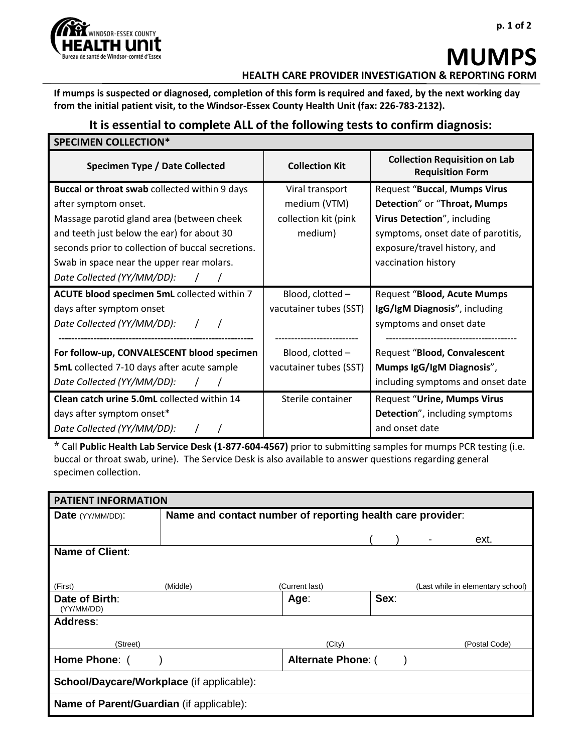

# **MUMPS HEALTH CARE PROVIDER INVESTIGATION & REPORTING FORM**

**If mumps is suspected or diagnosed, completion of this form is required and faxed, by the next working day from the initial patient visit, to the Windsor-Essex County Health Unit (fax: 226-783-2132).** 

## **It is essential to complete ALL of the following tests to confirm diagnosis:**

| <b>SPECIMEN COLLECTION*</b>                       |                        |                                                                 |  |  |  |
|---------------------------------------------------|------------------------|-----------------------------------------------------------------|--|--|--|
| <b>Specimen Type / Date Collected</b>             | <b>Collection Kit</b>  | <b>Collection Requisition on Lab</b><br><b>Requisition Form</b> |  |  |  |
| Buccal or throat swab collected within 9 days     | Viral transport        | Request "Buccal, Mumps Virus                                    |  |  |  |
| after symptom onset.                              | medium (VTM)           | Detection" or "Throat, Mumps                                    |  |  |  |
| Massage parotid gland area (between cheek         | collection kit (pink   | Virus Detection", including                                     |  |  |  |
| and teeth just below the ear) for about 30        | medium)                | symptoms, onset date of parotitis,                              |  |  |  |
| seconds prior to collection of buccal secretions. |                        | exposure/travel history, and                                    |  |  |  |
| Swab in space near the upper rear molars.         |                        | vaccination history                                             |  |  |  |
| Date Collected (YY/MM/DD):                        |                        |                                                                 |  |  |  |
| ACUTE blood specimen 5mL collected within 7       | Blood, clotted -       | <b>Request "Blood, Acute Mumps</b>                              |  |  |  |
| days after symptom onset                          | vacutainer tubes (SST) | IgG/IgM Diagnosis", including                                   |  |  |  |
| Date Collected (YY/MM/DD):                        |                        | symptoms and onset date                                         |  |  |  |
|                                                   |                        |                                                                 |  |  |  |
| For follow-up, CONVALESCENT blood specimen        | Blood, clotted -       | Request "Blood, Convalescent                                    |  |  |  |
| <b>5mL</b> collected 7-10 days after acute sample | vacutainer tubes (SST) | Mumps IgG/IgM Diagnosis",                                       |  |  |  |
| Date Collected (YY/MM/DD):                        |                        | including symptoms and onset date                               |  |  |  |
| Clean catch urine 5.0mL collected within 14       | Sterile container      | <b>Request "Urine, Mumps Virus</b>                              |  |  |  |
| days after symptom onset*                         |                        | <b>Detection", including symptoms</b>                           |  |  |  |
| Date Collected (YY/MM/DD):                        |                        | and onset date                                                  |  |  |  |

\* Call **Public Health Lab Service Desk (1-877-604-4567)** prior to submitting samples for mumps PCR testing (i.e. buccal or throat swab, urine). The Service Desk is also available to answer questions regarding general specimen collection.

| <b>PATIENT INFORMATION</b>                      |                                                            |                           |      |  |                                   |
|-------------------------------------------------|------------------------------------------------------------|---------------------------|------|--|-----------------------------------|
| <b>Date</b> (YY/MM/DD):                         | Name and contact number of reporting health care provider: |                           |      |  |                                   |
|                                                 |                                                            |                           |      |  | ext.                              |
| <b>Name of Client:</b>                          |                                                            |                           |      |  |                                   |
|                                                 |                                                            |                           |      |  |                                   |
| (First)                                         | (Middle)                                                   | (Current last)            |      |  | (Last while in elementary school) |
| Date of Birth:<br>(YY/MM/DD)                    |                                                            | Age:                      | Sex: |  |                                   |
| <b>Address:</b>                                 |                                                            |                           |      |  |                                   |
| (Street)                                        |                                                            | (City)                    |      |  | (Postal Code)                     |
| Home Phone: (                                   |                                                            | <b>Alternate Phone: (</b> |      |  |                                   |
| School/Daycare/Workplace (if applicable):       |                                                            |                           |      |  |                                   |
| <b>Name of Parent/Guardian (if applicable):</b> |                                                            |                           |      |  |                                   |